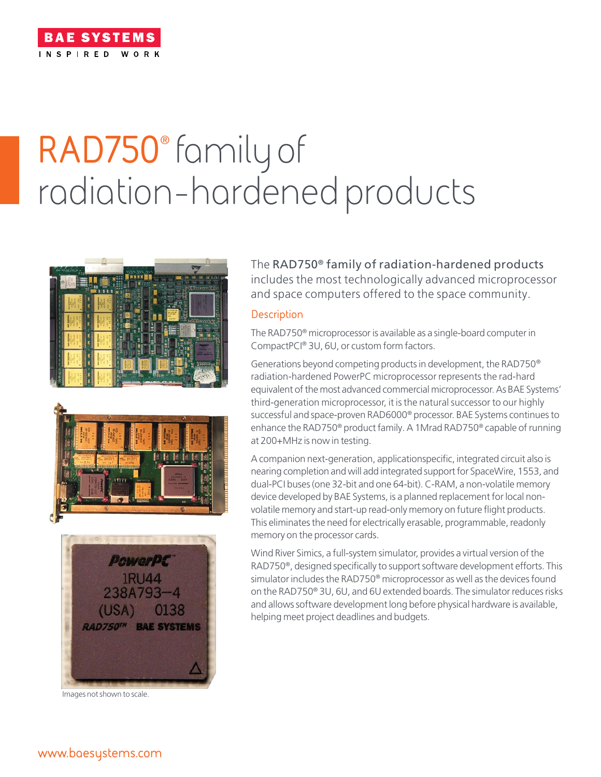

# **RAD750**® family of radiation-hardened products







Images not shown to scale.

The RAD750® family of radiation-hardened products includes the most technologically advanced microprocessor and space computers offered to the space community.

### **Description**

The RAD750® microprocessor is available as a single-board computer in CompactPCI® 3U, 6U, or custom form factors.

Generations beyond competing products in development, the RAD750® radiation-hardened PowerPC microprocessor represents the rad-hard equivalent of the most advanced commercial microprocessor. As BAE Systems' third-generation microprocessor, it is the natural successor to our highly successful and space-proven RAD6000® processor. BAE Systems continues to enhance the RAD750® product family. A 1Mrad RAD750® capable of running at 200+MHz is now in testing.

A companion next-generation, applicationspecific, integrated circuit also is nearing completion and will add integrated support for SpaceWire, 1553, and dual-PCI buses (one 32-bit and one 64-bit). C-RAM, a non-volatile memory device developed by BAE Systems, is a planned replacement for local nonvolatile memory and start-up read-only memory on future flight products. This eliminates the need for electrically erasable, programmable, readonly memory on the processor cards.

Wind River Simics, a full-system simulator, provides a virtual version of the RAD750®, designed specifically to support software development efforts. This simulator includes the RAD750® microprocessor as well as the devices found on the RAD750® 3U, 6U, and 6U extended boards. The simulator reduces risks and allows software development long before physical hardware is available, helping meet project deadlines and budgets.